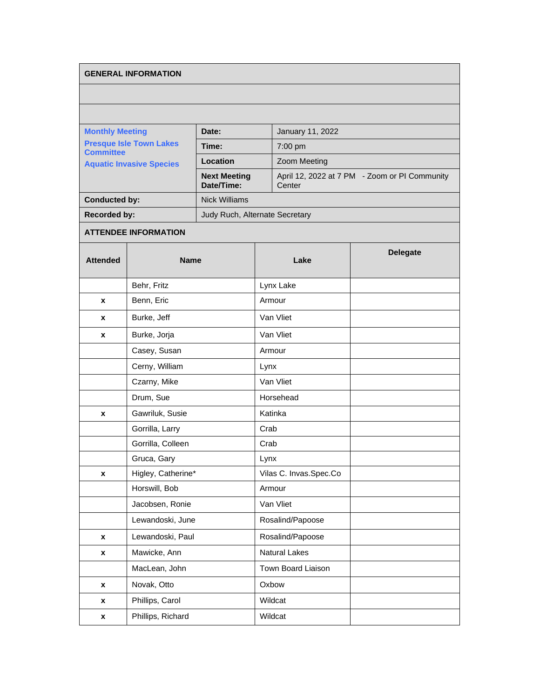## **GENERAL INFORMATION**

| <b>Monthly Meeting</b><br><b>Presque Isle Town Lakes</b><br><b>Committee</b><br><b>Aquatic Invasive Species</b> | Date:                             | January 11, 2022                                        |
|-----------------------------------------------------------------------------------------------------------------|-----------------------------------|---------------------------------------------------------|
|                                                                                                                 | Time:                             | $7:00 \text{ pm}$                                       |
|                                                                                                                 | Location                          | <b>Zoom Meeting</b>                                     |
|                                                                                                                 | <b>Next Meeting</b><br>Date/Time: | April 12, 2022 at 7 PM - Zoom or PI Community<br>Center |
| <b>Conducted by:</b>                                                                                            | <b>Nick Williams</b>              |                                                         |
| <b>Recorded by:</b>                                                                                             | Judy Ruch, Alternate Secretary    |                                                         |

## **ATTENDEE INFORMATION**

| <b>Attended</b> | <b>Name</b>        | Lake                   | <b>Delegate</b> |
|-----------------|--------------------|------------------------|-----------------|
|                 | Behr, Fritz        | Lynx Lake              |                 |
| X               | Benn, Eric         | Armour                 |                 |
| X               | Burke, Jeff        | Van Vliet              |                 |
| X               | Burke, Jorja       | Van Vliet              |                 |
|                 | Casey, Susan       | Armour                 |                 |
|                 | Cerny, William     | Lynx                   |                 |
|                 | Czarny, Mike       | Van Vliet              |                 |
|                 | Drum, Sue          | Horsehead              |                 |
| X               | Gawriluk, Susie    | Katinka                |                 |
|                 | Gorrilla, Larry    | Crab                   |                 |
|                 | Gorrilla, Colleen  | Crab                   |                 |
|                 | Gruca, Gary        | Lynx                   |                 |
| X               | Higley, Catherine* | Vilas C. Invas.Spec.Co |                 |
|                 | Horswill, Bob      | Armour                 |                 |
|                 | Jacobsen, Ronie    | Van Vliet              |                 |
|                 | Lewandoski, June   | Rosalind/Papoose       |                 |
| $\mathbf{x}$    | Lewandoski, Paul   | Rosalind/Papoose       |                 |
| X               | Mawicke, Ann       | <b>Natural Lakes</b>   |                 |
|                 | MacLean, John      | Town Board Liaison     |                 |
| X               | Novak, Otto        | Oxbow                  |                 |
| X               | Phillips, Carol    | Wildcat                |                 |
| X               | Phillips, Richard  | Wildcat                |                 |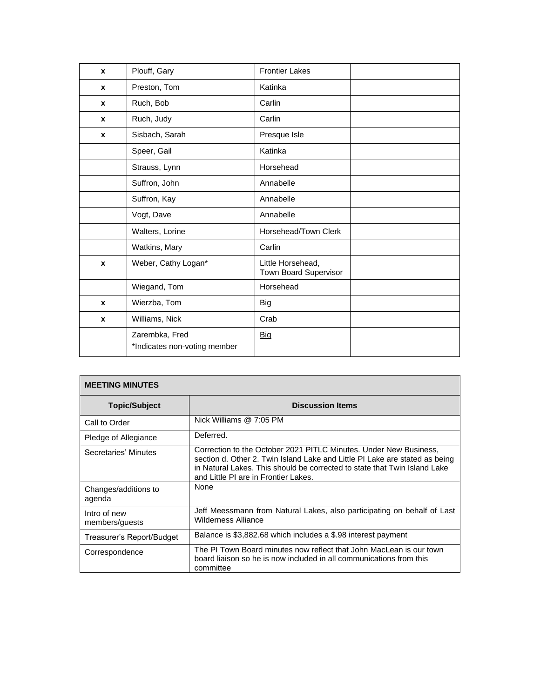| $\mathbf{x}$ | Plouff, Gary                                   | <b>Frontier Lakes</b>                      |  |
|--------------|------------------------------------------------|--------------------------------------------|--|
| $\mathbf{x}$ | Preston, Tom                                   | Katinka                                    |  |
| $\mathbf x$  | Ruch, Bob                                      | Carlin                                     |  |
| $\mathbf{x}$ | Ruch, Judy                                     | Carlin                                     |  |
| $\mathbf{x}$ | Sisbach, Sarah                                 | Presque Isle                               |  |
|              | Speer, Gail                                    | Katinka                                    |  |
|              | Strauss, Lynn                                  | Horsehead                                  |  |
|              | Suffron, John                                  | Annabelle                                  |  |
|              | Suffron, Kay                                   | Annabelle                                  |  |
|              | Vogt, Dave                                     | Annabelle                                  |  |
|              | Walters, Lorine                                | Horsehead/Town Clerk                       |  |
|              | Watkins, Mary                                  | Carlin                                     |  |
| $\mathbf{x}$ | Weber, Cathy Logan*                            | Little Horsehead,<br>Town Board Supervisor |  |
|              | Wiegand, Tom                                   | Horsehead                                  |  |
| $\mathbf x$  | Wierzba, Tom                                   | <b>Big</b>                                 |  |
| $\mathbf x$  | Williams, Nick                                 | Crab                                       |  |
|              | Zarembka, Fred<br>*Indicates non-voting member | <b>Big</b>                                 |  |

| <b>MEETING MINUTES</b>         |                                                                                                                                                                                                                                                                       |  |
|--------------------------------|-----------------------------------------------------------------------------------------------------------------------------------------------------------------------------------------------------------------------------------------------------------------------|--|
| <b>Topic/Subject</b>           | <b>Discussion Items</b>                                                                                                                                                                                                                                               |  |
| Call to Order                  | Nick Williams $@7:05$ PM                                                                                                                                                                                                                                              |  |
| Pledge of Allegiance           | Deferred.                                                                                                                                                                                                                                                             |  |
| Secretaries' Minutes           | Correction to the October 2021 PITLC Minutes. Under New Business,<br>section d. Other 2. Twin Island Lake and Little PI Lake are stated as being<br>in Natural Lakes. This should be corrected to state that Twin Island Lake<br>and Little PI are in Frontier Lakes. |  |
| Changes/additions to<br>agenda | None                                                                                                                                                                                                                                                                  |  |
| Intro of new<br>members/guests | Jeff Meessmann from Natural Lakes, also participating on behalf of Last<br><b>Wilderness Alliance</b>                                                                                                                                                                 |  |
| Treasurer's Report/Budget      | Balance is \$3,882.68 which includes a \$.98 interest payment                                                                                                                                                                                                         |  |
| Correspondence                 | The PI Town Board minutes now reflect that John MacLean is our town<br>board liaison so he is now included in all communications from this<br>committee                                                                                                               |  |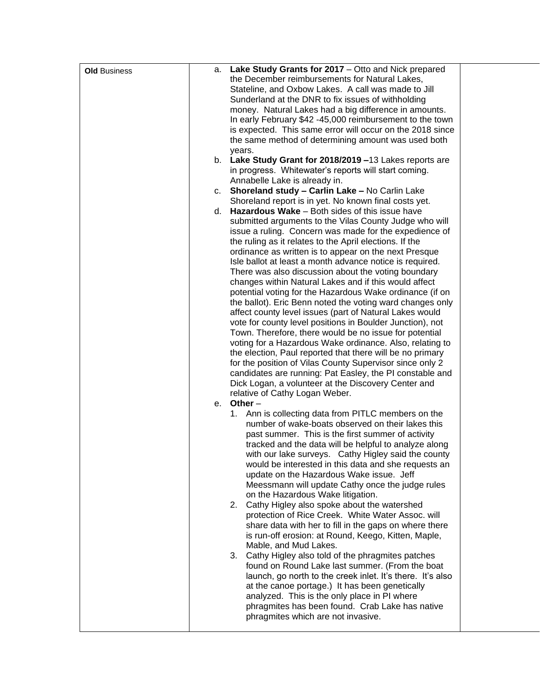| <b>Old Business</b> | а. | Lake Study Grants for 2017 - Otto and Nick prepared        |
|---------------------|----|------------------------------------------------------------|
|                     |    | the December reimbursements for Natural Lakes,             |
|                     |    | Stateline, and Oxbow Lakes. A call was made to Jill        |
|                     |    | Sunderland at the DNR to fix issues of withholding         |
|                     |    | money. Natural Lakes had a big difference in amounts.      |
|                     |    | In early February \$42 -45,000 reimbursement to the town   |
|                     |    | is expected. This same error will occur on the 2018 since  |
|                     |    | the same method of determining amount was used both        |
|                     |    | years.                                                     |
|                     |    | b. Lake Study Grant for 2018/2019 -13 Lakes reports are    |
|                     |    | in progress. Whitewater's reports will start coming.       |
|                     |    | Annabelle Lake is already in.                              |
|                     |    | c. Shoreland study - Carlin Lake - No Carlin Lake          |
|                     |    | Shoreland report is in yet. No known final costs yet.      |
|                     |    | d. <b>Hazardous Wake</b> $-$ Both sides of this issue have |
|                     |    |                                                            |
|                     |    | submitted arguments to the Vilas County Judge who will     |
|                     |    | issue a ruling. Concern was made for the expedience of     |
|                     |    | the ruling as it relates to the April elections. If the    |
|                     |    | ordinance as written is to appear on the next Presque      |
|                     |    | Isle ballot at least a month advance notice is required.   |
|                     |    | There was also discussion about the voting boundary        |
|                     |    | changes within Natural Lakes and if this would affect      |
|                     |    | potential voting for the Hazardous Wake ordinance (if on   |
|                     |    | the ballot). Eric Benn noted the voting ward changes only  |
|                     |    | affect county level issues (part of Natural Lakes would    |
|                     |    | vote for county level positions in Boulder Junction), not  |
|                     |    | Town. Therefore, there would be no issue for potential     |
|                     |    | voting for a Hazardous Wake ordinance. Also, relating to   |
|                     |    | the election, Paul reported that there will be no primary  |
|                     |    | for the position of Vilas County Supervisor since only 2   |
|                     |    | candidates are running: Pat Easley, the PI constable and   |
|                     |    | Dick Logan, a volunteer at the Discovery Center and        |
|                     |    | relative of Cathy Logan Weber.                             |
|                     | е. | Other $-$                                                  |
|                     |    | Ann is collecting data from PITLC members on the<br>1.     |
|                     |    | number of wake-boats observed on their lakes this          |
|                     |    | past summer. This is the first summer of activity          |
|                     |    | tracked and the data will be helpful to analyze along      |
|                     |    | with our lake surveys. Cathy Higley said the county        |
|                     |    | would be interested in this data and she requests an       |
|                     |    | update on the Hazardous Wake issue. Jeff                   |
|                     |    | Meessmann will update Cathy once the judge rules           |
|                     |    | on the Hazardous Wake litigation.                          |
|                     |    | Cathy Higley also spoke about the watershed<br>2.          |
|                     |    | protection of Rice Creek. White Water Assoc. will          |
|                     |    | share data with her to fill in the gaps on where there     |
|                     |    | is run-off erosion: at Round, Keego, Kitten, Maple,        |
|                     |    | Mable, and Mud Lakes.                                      |
|                     |    | Cathy Higley also told of the phragmites patches<br>3.     |
|                     |    | found on Round Lake last summer. (From the boat            |
|                     |    | launch, go north to the creek inlet. It's there. It's also |
|                     |    | at the canoe portage.) It has been genetically             |
|                     |    | analyzed. This is the only place in PI where               |
|                     |    | phragmites has been found. Crab Lake has native            |
|                     |    | phragmites which are not invasive.                         |
|                     |    |                                                            |